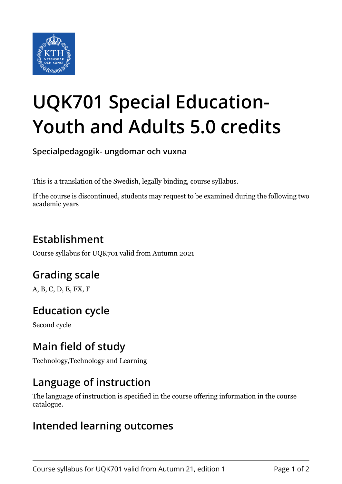

# **UQK701 Special Education-Youth and Adults 5.0 credits**

**Specialpedagogik- ungdomar och vuxna**

This is a translation of the Swedish, legally binding, course syllabus.

If the course is discontinued, students may request to be examined during the following two academic years

# **Establishment**

Course syllabus for UQK701 valid from Autumn 2021

## **Grading scale**

A, B, C, D, E, FX, F

# **Education cycle**

Second cycle

## **Main field of study**

Technology,Technology and Learning

## **Language of instruction**

The language of instruction is specified in the course offering information in the course catalogue.

#### **Intended learning outcomes**